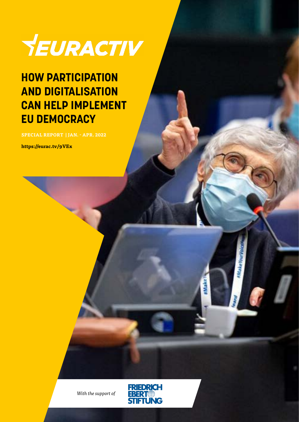

### **HOW PARTICIPATION AND DIGITALISATION CAN HELP IMPLEMENT EU DEMOCRACY**

**SPECIAL REPORT | JAN. - APR. 2022**

**https://eurac.tv/9VEx**



*With the support of*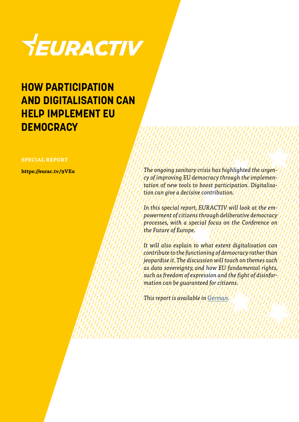

### **HOW PARTICIPATION AND DIGITALISATION CAN HELP IMPLEMENT EU DEMOCRACY**

#### **SPECIAL REPORT**

**https://eurac.tv/9VEx**

*The ongoing sanitary crisis has highlighted the urgency of improving EU democracy through the implementation of new tools to boost participation. Digitalisation can give a decisive contribution.*

*In this special report, EURACTIV will look at the empowerment of citizens through deliberative democracy processes, with a special focus on the Conference on the Future of Europe.* 

*It will also explain to what extent digitalisation can contribute to the functioning of democracy rather than jeopardise it. The discussion will touch on themes such as data sovereignty, and how EU fundamental rights, such as freedom of expression and the fight of disinformation can be guaranteed for citizens.*

*This report is available in [German](https://www.euractiv.de/section/innovation/special_report/wie-beteiligung-und-digitalisierung-die-europaeische-demokratie-staerken-koennen/?_ga=2.13026353.724036938.1649664277-1399841842.1643883858).*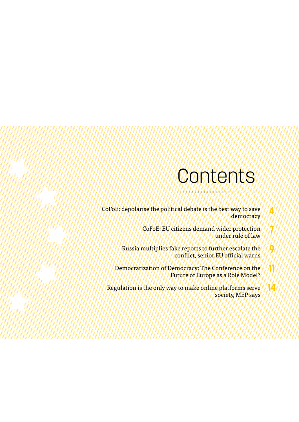### **Contents**

**4**

**7**

**9**

**11**

**14**

CoFoE: depolarise the political debate is the best way to save democracy

> CoFoE: EU citizens demand wider protection under rule of law

Russia multiplies fake reports to further escalate the conflict, senior EU official warns

Democratization of Democracy: The Conference on the Future of Europe as a Role Model?

Regulation is the only way to make online platforms serve society, MEP says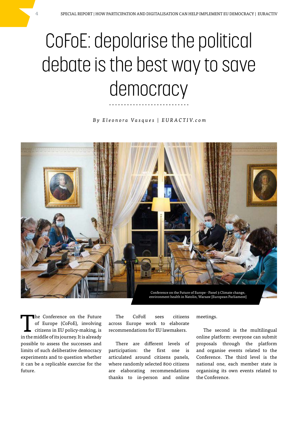# CoFoE: depolarise the political debate is the best way to save democracy

*B y E l e o n o r a Va s q u e s | E U R A C T I V. c o m*



The Conference on the Future of Europe (CoFoE), involving citizens in EU policy-making, is in the middle of its journey. It is already possible to assess the successes and limits of such deliberative democracy experiments and to question whether it can be a replicable exercise for the future.

The CoFoE sees citizens across Europe work to elaborate recommendations for EU lawmakers.

There are different levels of participation: the first one is articulated around citizens panels, where randomly selected 800 citizens are elaborating recommendations thanks to in-person and online

meetings.

The second is the multilingual online platform: everyone can submit proposals through the platform and organise events related to the Conference. The third level is the national one, each member state is organising its own events related to the Conference.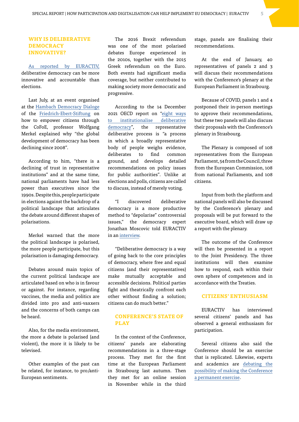#### **WHY IS DELIBERATIVE DEMOCRACY INNOVATIVE?**

[As reported by EURACTIV,](https://www.euractiv.com/section/future-eu/news/cofoe-deliberative-democracy-is-more-accountable-than-elections-and-polls/) deliberative democracy can be more innovative and accountable than elections.

Last July, at an event organised at the [Hambach Democracy Dialoge](https://www.fes.de/en/souveraenes-europa/hambach-democracy-dialogue-2021) of the [Friedrich-Ebert-Stiftung](https://www.fes.de/en/souveraenes-europa/hambach-democracy-dialogue-2021) on how to empower citizens through the CoFoE, professor Wolfgang Merkel explained why "the global development of democracy has been declining since 2008".

According to him, "there is a declining of trust in representative institutions" and at the same time, national parliaments have had less power than executives since the 1990s. Despite this, people participate in elections against the backdrop of a political landscape that articulates the debate around different shapes of polarisations.

Merkel warned that the more the political landscape is polarised, the more people participate, but this polarisation is damaging democracy.

Debates around main topics of the current political landscape are articulated based on who is in favour or against. For instance, regarding vaccines, the media and politics are divided into pro and anti-vaxxers and the concerns of both camps can be heard.

Also, for the media environment, the more a debate is polarised (and violent), the more it is likely to be televised.

Other examples of the past can be related, for instance, to pro/anti-European sentiments.

The 2016 Brexit referendum was one of the most polarised debates Europe experienced in the 2010s, together with the 2015 Greek referendum on the Euro. Both events had significant media coverage, but neither contributed to making society more democratic and progressive.

According to the 14 December 2021 OECD report on ["eight ways](https://www.oecd-ilibrary.org/governance/eight-ways-to-institutionalise-deliberative-democracy_4fcf1da5-en;jsessionid=X_-R7iBQsI1g0a7g6mbdhNIl.ip-10-240-5-101) [to institutionalise deliberative](https://www.oecd-ilibrary.org/governance/eight-ways-to-institutionalise-deliberative-democracy_4fcf1da5-en;jsessionid=X_-R7iBQsI1g0a7g6mbdhNIl.ip-10-240-5-101) [democracy](https://www.oecd-ilibrary.org/governance/eight-ways-to-institutionalise-deliberative-democracy_4fcf1da5-en;jsessionid=X_-R7iBQsI1g0a7g6mbdhNIl.ip-10-240-5-101)", the representative deliberative process is "a process in which a broadly representative body of people weighs evidence, deliberates to find common ground, and develops detailed recommendations on policy issues for public authorities". Unlike at elections and polls, citizens are called to discuss, instead of merely voting.

"I discovered deliberative democracy is a more productive method to "depolarise" controversial issues," the democracy expert Jonathan Moscovic told EURACTIV in an [interview](https://www.euractiv.com/section/future-eu/interview/democracy-expert-cofoe-at-risk-of-being-pr-exercise/).

"Deliberative democracy is a way of going back to the core principles of democracy, where free and equal citizens (and their representatives) make mutually acceptable and accessible decisions. Political parties fight and theatrically confront each other without finding a solution; citizens can do much better."

#### **CONFERENCE'S STATE OF PLAY**

In the context of the Conference, citizens' panels are elaborating recommendations in a three-stage process. They met for the first time at the European Parliament in Strasbourg last autumn. Then they met for an online session in November while in the third stage, panels are finalising their recommendations.

At the end of January, 40 representatives of panels 2 and 3 will discuss their recommendations with the Conference's plenary at the European Parliament in Strasbourg.

Because of COVID, panels 1 and 4 postponed their in-person meetings to approve their recommendations, but these two panels will also discuss their proposals with the Conference's plenary in Strasbourg.

The Plenary is composed of 108 representatives from the European Parliament, 54 from the Council, three from the European Commission, 108 from national Parliaments, and 108 citizens.

Input from both the platform and national panels will also be discussed by the Conference's plenary and proposals will be put forward to the executive board, which will draw up a report with the plenary.

The outcome of the Conference will then be presented in a report to the Joint Presidency. The three institutions will then examine how to respond, each within their own sphere of competences and in accordance with the Treaties.

#### **CITIZENS' ENTHUSIASM**

EURACTIV has interviewed several citizens' panels and has observed a general enthusiasm for participation.

Several citizens also said the Conference should be an exercise that is replicated. Likewise, experts and academics are [debating the](https://www.youtube.com/watch?v=juk23Pu93co)  [possibility of making the Conference](https://www.youtube.com/watch?v=juk23Pu93co)  [a permanent exercise](https://www.youtube.com/watch?v=juk23Pu93co).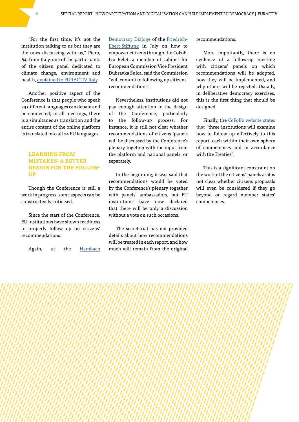"For the first time, it's not the institution talking to us but they are the ones discussing with us," Piero, 64, from Italy, one of the participants of the citizen panel dedicated to climate change, environment and health, [explained to EURACTIV Italy.](https://euractiv.it/section/futuro-delleuropa/news/conferenza-sul-futuro-delleuropa-i-protagonisti-parlano-di-salute-e-ambiente/)

Another positive aspect of the Conference is that people who speak 24 different languages can debate and be connected; in all meetings, there is a simultaneous translation and the entire content of the online platform is translated into all 24 EU languages.

#### **LEARNING FROM MISTAKES: A BETTER DESIGN FOR THE FOLLOW-UP**

Though the Conference is still a work in progress, some aspects can be constructively criticised.

Since the start of the Conference, EU institutions have shown readiness to properly follow up on citizens' recommendations.

Again, at the [Hambach](https://www.fes.de/en/souveraenes-europa/hambach-democracy-dialogue-2021) 

[Democracy Dialoge](https://www.fes.de/en/souveraenes-europa/hambach-democracy-dialogue-2021) of the [Friedrich-](https://www.fes.de/en/souveraenes-europa/hambach-democracy-dialogue-2021)[Ebert-Stiftung](https://www.fes.de/en/souveraenes-europa/hambach-democracy-dialogue-2021) in July on how to empower citizens through the CoFoE, Ivo Belet, a member of cabinet for European Commission Vice President Dubravka Šuica, said the Commission "will commit to following up citizens' recommendations".

Nevertheless, institutions did not pay enough attention to the design of the Conference, particularly to the follow-up process. For instance, it is still not clear whether recommendations of citizens 'panels will be discussed by the Conference's plenary, together with the input from the platform and national panels, or separately.

In the beginning, it was said that recommendations would be voted by the Conference's plenary together with panels' ambassadors, but EU institutions have now declared that there will be only a discussion without a vote on such occasions.

The secretariat has not provided details about how recommendations will be treated in each report, and how much will remain from the original recommendations.

More importantly, there is no evidence of a follow-up meeting with citizens' panels on which recommendations will be adopted, how they will be implemented, and why others will be rejected. Usually, in deliberative democracy exercises, this is the first thing that should be designed.

Finally, the [CoFoE's website states](https://futureu.europa.eu/pages/about) [that](https://futureu.europa.eu/pages/about) "three institutions will examine how to follow up effectively to this report, each within their own sphere of competences and in accordance with the Treaties".

This is a significant constraint on the work of the citizens' panels as it is not clear whether citizens proposals will even be considered if they go beyond or regard member states' competences.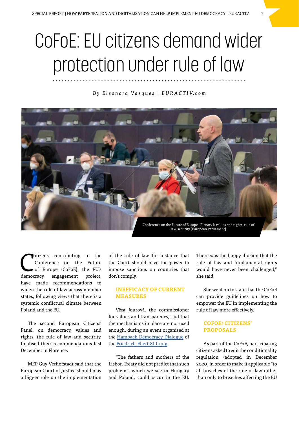## CoFoE: EU citizens demand wider protection under rule of law

*B y E l e o n o r a Va s q u e s | E U R A C T I V. c o m*



Itizens contributing to the<br>
Conference on the Future<br>
of Europe (CoFoE), the EU's<br>
durant proposed project Conference on the Future democracy engagement project, have made recommendations to widen the rule of law across member states, following views that there is a systemic conflictual climate between Poland and the EU.

The second European Citizens' Panel, on democracy, values and rights, the rule of law and security, finalised their recommendations last December in Florence.

MEP Guy Verhofstadt said that the European Court of Justice should play a bigger role on the implementation

of the rule of law, for instance that the Court should have the power to impose sanctions on countries that don't comply.

#### **INEFFICACY OF CURRENT MEASURES**

Věra Jourová, the commissioner for values and transparency, said that the mechanisms in place are not used enough, during an event organised at the [Hambach Democracy Dialogue](https://www.fes.de/en/souveraenes-europa/hambach-democracy-dialogue-2021) of the [Friedrich-Ebert-Stiftung](https://www.fes.de/en/souveraenes-europa/hambach-democracy-dialogue-2021).

"The fathers and mothers of the Lisbon Treaty did not predict that such problems, which we see in Hungary and Poland, could occur in the EU. There was the happy illusion that the rule of law and fundamental rights would have never been challenged," she said.

She went on to state that the CoFoE can provide guidelines on how to empower the EU in implementing the rule of law more effectively.

#### **COFOE: CITIZENS' PROPOSALS**

As part of the CoFoE, participating citizens asked to edit the conditionality regulation (adopted in December 2020) in order to make it applicable "to all breaches of the rule of law rather than only to breaches affecting the EU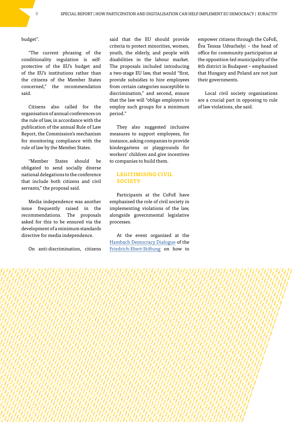budget".

"The current phrasing of the conditionality regulation is selfprotective of the EU's budget and of the EU's institutions rather than the citizens of the Member States concerned," the recommendation said.

Citizens also called for the organisation of annual conferences on the rule of law, in accordance with the publication of the annual Rule of Law Report, the Commission's mechanism for monitoring compliance with the rule of law by the Member States.

"Member States should be obligated to send socially diverse national delegations to the conference that include both citizens and civil servants," the proposal said.

Media independence was another issue frequently raised in the recommendations. The proposals asked for this to be ensured via the development of a minimum standards directive for media independence.

On anti-discrimination, citizens

said that the EU should provide criteria to protect minorities, women, youth, the elderly, and people with disabilities in the labour market. The proposals included introducing a two-stage EU law, that would "first, provide subsidies to hire employees from certain categories susceptible to discrimination," and second, ensure that the law will "oblige employers to employ such groups for a minimum period."

They also suggested inclusive measures to support employees, for instance, asking companies to provide kindergartens or playgrounds for workers' children and give incentives to companies to build them.

#### **LEGITIMISING CIVIL SOCIETY**

Participants at the CoFoE have emphasised the role of civil society in implementing violations of the law, alongside governmental legislative processes.

At the event organised at the [Hambach Democracy Dialogue](https://www.fes.de/en/souveraenes-europa/hambach-democracy-dialogue-2021) of the [Friedrich-Ebert-Stiftung](https://www.fes.de/en/souveraenes-europa/hambach-democracy-dialogue-2021) on how to

empower citizens through the CoFoE, Éva Tessza Udvarhelyi – the head of office for community participation at the opposition-led municipality of the 8th district in Budapest – emphasised that Hungary and Poland are not just their governments.

Local civil society organisations are a crucial part in opposing to rule of law violations, she said.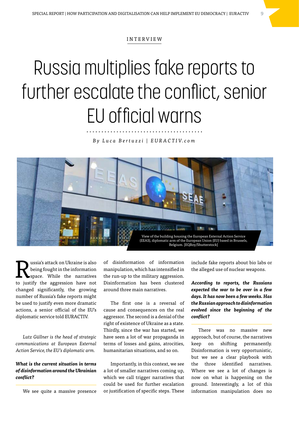#### INTERVIEW

## Russia multiplies fake reports to further escalate the conflict, senior EU official warns

*B y L u c a B e r t u z z i | E U R A C T I V. c o m*



**Russia's attack on Ukraine is also<br>
Space.** While the narratives being fought in the information to justify the aggression have not changed significantly, the growing number of Russia's fake reports might be used to justify even more dramatic actions, a senior official of the EU's diplomatic service told EURACTIV.

*Lutz Güllner is the head of strategic communications at European External Action Service, the EU's diplomatic arm.*

#### *What is the current situation in terms of disinformation around the Ukrainian conflict?*

We see quite a massive presence

of disinformation of information manipulation, which has intensified in the run-up to the military aggression. Disinformation has been clustered around three main narratives.

The first one is a reversal of cause and consequences on the real aggressor. The second is a denial of the right of existence of Ukraine as a state. Thirdly, since the war has started, we have seen a lot of war propaganda in terms of losses and gains, atrocities, humanitarian situations, and so on.

Importantly, in this context, we see a lot of smaller narratives coming up, which we call trigger narratives that could be used for further escalation or justification of specific steps. These

include fake reports about bio labs or the alleged use of nuclear weapons.

*According to reports, the Russians expected the war to be over in a few days. It has now been a few weeks. Has the Russian approach to disinformation evolved since the beginning of the conflict?*

There was no massive new approach, but of course, the narratives keep on shifting permanently. Disinformation is very opportunistic, but we see a clear playbook with the three identified narratives. Where we see a lot of changes is now on what is happening on the ground. Interestingly, a lot of this information manipulation does no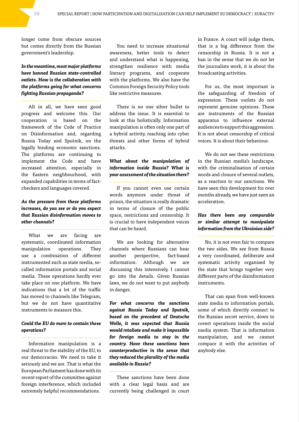longer come from obscure sources but comes directly from the Russian government's leadership.

#### *In the meantime, most major platforms have banned Russian state-controlled outlets. How is the collaboration with the platforms going for what concerns fighting Russian propaganda?*

All in all, we have seen good progress and welcome this. Our cooperation is based on the framework of the Code of Practice on Disinformation and, regarding Russia Today and Sputnik, on the legally binding economic sanctions. The platforms are continuing to implement the Code and have increased attention, especially in the Eastern neighbourhood, with expanded capabilities in terms of factcheckers and languages covered.

#### *As the pressure from these platforms increases, do you see or do you expect that Russian disinformation moves to other channels?*

What we are facing are systematic, coordinated information manipulation operations. They use a combination of different instrumented such as state media, socalled information portals and social media. These operations hardly ever take place on one platform. We have indications that a lot of the traffic has moved to channels like Telegram, but we do not have quantitative instruments to measure this.

#### *Could the EU do more to contain these operations?*

Information manipulation is a real threat to the stability of the EU, to our democracies. We need to take it seriously and we are. That is what the European Parliament has done with its recent report of the committee against foreign interference, which included extremely helpful recommendations.

You need to increase situational awareness, better tools to detect and understand what is happening, strengthen resilience with media literacy programs, and cooperate with the platforms. We also have the Common Foreign Security Policy tools like restrictive measures.

There is no one silver bullet to address the issue. It is essential to look at this holistically. Information manipulation is often only one part of a hybrid activity, reaching into cyber threats and other forms of hybrid attacks.

### *What about the manipulation of information inside Russia? What is your assessment of the situation there?*

If you cannot even use certain words anymore under threat of prison, the situation is really dramatic in terms of closure of the public space, restrictions and censorship. It is crucial to have independent voices that can be heard.

We are looking for alternative channels where Russians can hear another perspective, fact-based information. Although we are discussing this intensively, I cannot go into the details. Given Russian laws, we do not want to put anybody in danger.

*For what concerns the sanctions against Russia Today and Sputnik, based on the precedent of Deutsche Welle, it was expected that Russia would retaliate and make it impossible for foreign media to stay in the country. Have these sanctions been counterproductive in the sense that they reduced the plurality of the media available in Russia?*

These sanctions have been done with a clear legal basis and are currently being challenged in court in France. A court will judge them, that is a big difference from the censorship in Russia. It is not a ban in the sense that we do not let the journalists work, it is about the broadcasting activities.

For us, the most important is the safeguarding of freedom of expression. These outlets do not represent genuine opinions. These are instruments of the Russian apparatus to influence external audiences to support this aggression. It is not about censorship of critical voices. It is about their behaviour.

We do not see these restrictions in the Russian media's landscape, with the criminalisation of certain words and closure of several outlets, as a reaction to our sanctions. We have seen this development for over months already, we have just seen an acceleration.

#### *Has there been any comparable or similar attempt to manipulate information from the Ukrainian side?*

No, it is not even fair to compare the two sides. We see from Russia a very coordinated, deliberate and systematic activity organised by the state that brings together very different parts of the disinformation instruments.

That can span from well-known state media to information portals, some of which directly connect to the Russian secret service, down to covert operations inside the social media system. That is information manipulation, and we cannot compare it with the activities of anybody else.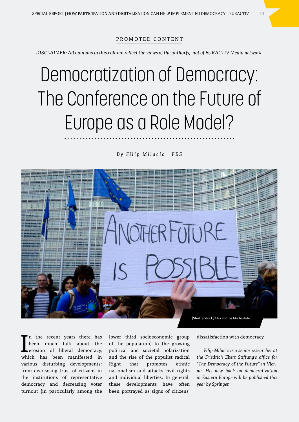#### PROMOTED CONTENT

*DISCLAIMER: All opinions in this column reflect the views of the author(s), not of EURACTIV Media network.*

## Democratization of Democracy: The Conference on the Future of Europe as a Role Model?

*By Filip Milacic | FES*



I n the recent years there has been much talk about the erosion of liberal democracy, which has been manifested in various disturbing developments: from decreasing trust of citizens in the institutions of representative democracy and decreasing voter turnout (in particularly among the

lower third socioeconomic group of the population) to the growing political and societal polarization and the rise of the populist radical Right that promotes ethnic nationalism and attacks civil rights and individual liberties. In general, these developments have often been portrayed as signs of citizens'

dissatisfaction with democracy.

*Filip Milacic is a senior researcher at the Friedrich Ebert Stiftung's office for "The Democracy of the Future" in Vienna. His new book on democratization in Eastern Europe will be published this year by Springer.*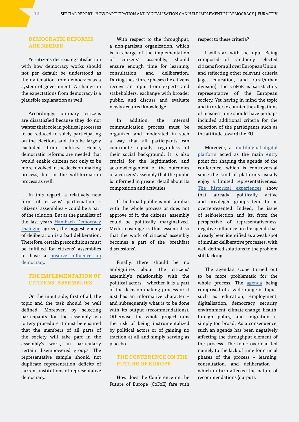#### **DEMOCRATIC REFORMS ARE NEEDED**

Yet citizens' decreasing satisfaction with how democracy works should not per default be understood as their alienation from democracy as a system of government. A change in the expectations from democracy is a plausible explanation as well.

Accordingly, ordinary citizens are dissatisfied because they do not wanter their role in political processes to be reduced to solely participating on the elections and thus be largely excluded from politics. Hence, democratic reforms are needed that would enable citizens not only to be more involved in the decision-making process, but in the will-formation process as well.

In this regard, a relatively new form of citizens' participation – citizens' assemblies – could be a part of the solution. But as the panelists of the last year's [Hambach Democracy](https://www.fes.de/en/souveraenes-europa/hambach-democracy-dialogue-2021) [Dialogue](https://www.fes.de/en/souveraenes-europa/hambach-democracy-dialogue-2021) agreed, the biggest enemy of deliberation is a bad deliberation. Therefore, certain preconditions must be fulfilled for citizens' assemblies to have a [positive influence on](https://democracy.fes.de/e/citizens-assemblies-new-ways-to-democratize-democracy) [democracy.](https://democracy.fes.de/e/citizens-assemblies-new-ways-to-democratize-democracy)

#### **THE IMPLEMENTATION OF CITIZENS' ASSEMBLIES**

On the input side, first of all, the topic and the task should be well defined. Moreover, by selecting participants for the assembly via lottery procedure it must be ensured that the members of all parts of the society will take part in the assembly's work, in particularly certain disempowered groups. The representative sample should not duplicate representation deficits of current institutions of representative democracy.

With respect to the throughput, a non-partisan organization, which is in charge of the implementation of citizens' assembly, should ensure enough time for learning, consultation, and deliberation. During these three phases the citizens receive an input from experts and stakeholders, exchange with broader public, and discuss and evaluate newly acquired knowledge.

In addition, the internal communication process must be organized and moderated in such a way that all participants can contribute equally regardless of their social background. It is also crucial for the legitimation and acknowledgement of the outcomes of a citizens' assembly that the public is informed in greater detail about its composition and activities.

If the broad public is not familiar with the whole process or does not approve of it, the citizens' assembly could be politically marginalized. Media coverage is thus essential so that the work of citizens' assembly becomes a part of the 'breakfast discussions'.

Finally, there should be no ambiguities about the citizens' assembly's relationship with the political actors – whether it is a part of the decision-making process or it just has an informative character – and subsequently what is to be done with its output (recommendations). Otherwise, the whole project runs the risk of being instrumentalized by political actors or of gaining no traction at all and simply serving as placebo.

#### **THE CONFERENCE ON THE FUTURE OF EUROPE**

How does the Conference on the Future of Europe (CoFoE) fare with

respect to these criteria?

I will start with the input. Being composed of randomly selected citizens from all over European Union, and reflecting other relevant criteria (age, education, and rural/urban division), the CoFoE is satisfactory representative of the European society. Yet having in mind the topic and in order to counter the allegations of biasness, one should have perhaps included additional criteria for the selection of the participants such as the attitude toward the EU.

Moreover, a [multilingual digital](https://www.europarl.europa.eu/RegData/etudes/BRIE/2021/698025/EPRS_BRI(2021)698025_EN.pdf)  [platform](https://www.europarl.europa.eu/RegData/etudes/BRIE/2021/698025/EPRS_BRI(2021)698025_EN.pdf) acted as the main entry point for shaping the agenda of the conference, which is controversial since the kind of platforms usually enjoy a limited representativeness. [The historical experiences](https://democracy.fes.de/e/citizens-assemblies-new-ways-to-democratize-democracy) show that already politically active and privileged groups tend to be overrepresented. Indeed, the issue of self-selection and its, from the perspective of representativeness, negative influence on the agenda has already been identified as a weak spot of similar deliberative processes, with well-defined solutions to the problem still lacking.

The agenda's scope turned out to be more problematic for the whole process. The [agenda](https://www.europarl.europa.eu/RegData/etudes/BRIE/2021/698025/EPRS_BRI(2021)698025_EN.pdf) being comprised of a wide range of topics such as education, employment, digitalisation, democracy, security, environment, climate change, health, foreign policy, and migration is simply too broad. As a consequence, such an agenda has been negatively affecting the throughput element of the process. The topic overload led namely to the lack of time for crucial phases of the process – learning, consultation, and deliberation -, which in turn affected the nature of recommendations (output).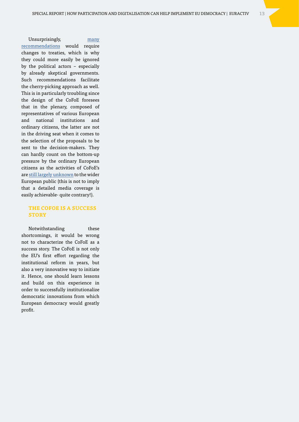Unsurprisingly, [many](https://www.euractiv.com/section/future-eu/news/cofoe-could-cause-disquiet-in-commission-over-citizens-wishes-to-change-treaties/)  [recommendations](https://www.euractiv.com/section/future-eu/news/cofoe-could-cause-disquiet-in-commission-over-citizens-wishes-to-change-treaties/) would require changes to treaties, which is why they could more easily be ignored by the political actors – especially by already skeptical governments. Such recommendations facilitate the cherry-picking approach as well. This is in particularly troubling since the design of the CoFoE foresees that in the plenary, composed of representatives of various European and national institutions and ordinary citizens, the latter are not in the driving seat when it comes to the selection of the proposals to be sent to the decision-makers. They can hardly count on the bottom-up pressure by the ordinary European citizens as the activities of CoFoE's are [still largely unknown](https://www.euractiv.com/section/future-eu/news/commission-quells-fears-over-lack-of-media-interest-in-cofoe/) to the wider European public (this is not to imply that a detailed media coverage is easily achievable- quite contrary!).

#### **THE COFOE IS A SUCCESS STORY**

Notwithstanding these shortcomings, it would be wrong not to characterize the CoFoE as a success story. The CoFoE is not only the EU's first effort regarding the institutional reform in years, but also a very innovative way to initiate it. Hence, one should learn lessons and build on this experience in order to successfully institutionalize democratic innovations from which European democracy would greatly profit.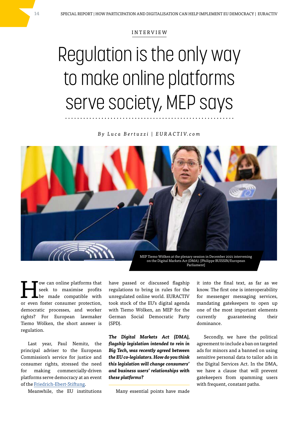#### INTERVIEW

### Regulation is the only way to make online platforms serve society, MEP says

*B y L u c a B e r t u z z i | E U R A C T I V. c o m*



Tow can online platforms that<br>
seek to maximise profits<br>
be made compatible with seek to maximise profits or even foster consumer protection, democratic processes, and worker rights? For European lawmaker Tiemo Wölken, the short answer is regulation.

Last year, Paul Nemitz, the principal adviser to the European Commission's service for justice and consumer rights, stressed the need for making commercially-driven platforms serve democracy at an event of the [Friedrich-Ebert-Stiftung.](https://www.fes.de/en/souveraenes-europa/hambach-democracy-dialogue-2021)

Meanwhile, the EU institutions

have passed or discussed flagship regulations to bring in rules for the unregulated online world. EURACTIV took stock of the EU's digital agenda with Tiemo Wölken, an MEP for the German Social Democratic Party (SPD).

*The Digital Markets Act (DMA), flagship legislation intended to rein in Big Tech, was recently agreed between the EU co-legislators. How do you think this legislation will change consumers' and business users' relationships with these platforms?*

Many essential points have made

it into the final text, as far as we know. The first one is interoperability for messenger messaging services, mandating gatekeepers to open up one of the most important elements currently guaranteeing their dominance.

Secondly, we have the political agreement to include a ban on targeted ads for minors and a banned on using sensitive personal data to tailor ads in the Digital Services Act. In the DMA, we have a clause that will prevent gatekeepers from spamming users with frequent, constant paths.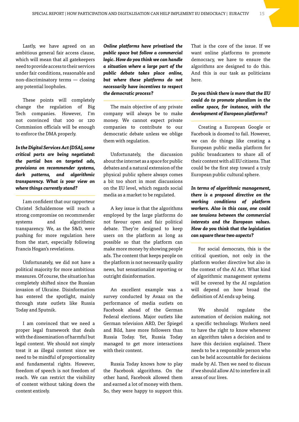Lastly, we have agreed on an ambitious general fair access clause, which will mean that all gatekeepers need to provide access to their services under fair conditions, reasonable and non-discriminatory terms — closing any potential loopholes.

These points will completely change the regulation of Big Tech companies. However, I'm not convinced that 100 or 120 Commission officials will be enough to enforce the DMA properly.

*In the Digital Services Act (DSA), some critical parts are being negotiated: the partial ban on targeted ads, provisions on recommender systems, dark patterns, and algorithmic transparency. What is your view on where things currently stand?*

I am confident that our rapporteur Christel Schaldemose will reach a strong compromise on recommender systems and algorithmic transparency. We, as the S&D, were pushing for more regulation here from the start, especially following Francis Hogan's revelations.

Unfortunately, we did not have a political majority for more ambitious measures. Of course, the situation has completely shifted since the Russian invasion of Ukraine. Disinformation has entered the spotlight, mainly through state outlets like Russia Today and Sputnik.

I am convinced that we need a proper legal framework that deals with the dissemination of harmful but legal content. We should not simply treat it as illegal content since we need to be mindful of proportionality and fundamental rights. However, freedom of speech is not freedom of reach. We can restrict the visibility of content without taking down the content entirely.

*Online platforms have privatised the public space but follow a commercial logic. How do you think we can handle a situation where a large part of the public debate takes place online, but where these platforms do not necessarily have incentives to respect the democratic process?*

The main objective of any private company will always be to make money. We cannot expect private companies to contribute to our democratic debate unless we oblige them with regulation.

Unfortunately, the discussion about the internet as a space for public debates and a natural extension of the physical public sphere always comes a bit too short in most discussions on the EU level, which regards social media as a market to be regulated.

A key issue is that the algorithms employed by the large platforms do not favour open and fair political debate. They're designed to keep users on the platform as long as possible so that the platform can make more money by showing people ads. The content that keeps people on the platform is not necessarily quality news, but sensationalist reporting or outright disinformation.

An excellent example was a survey conducted by Avaaz on the performance of media outlets on Facebook ahead of the German Federal elections. Major outlets like German television ARD, Der Spiegel and Bild, have more followers than Russia Today. Yet, Russia Today managed to get more interactions with their content.

Russia Today knows how to play the Facebook algorithms. On the other hand, Facebook allowed them and earned a lot of money with them. So, they were happy to support this.

That is the core of the issue. If we want online platforms to promote democracy, we have to ensure the algorithms are designed to do this. And this is our task as politicians here.

#### *Do you think there is more that the EU could do to promote pluralism in the online space, for instance, with the development of European platforms?*

Creating a European Google or Facebook is doomed to fail. However, we can do things like creating a European public media platform for public broadcasters to share all of their content with all EU citizens. That could be the first step toward a truly European public cultural sphere.

*In terms of algorithmic management, there is a proposed directive on the working conditions of platform workers. Also in this case, one could see tensions between the commercial interests and the European values. How do you think that the legislation can square these two aspects?*

For social democrats, this is the critical question, not only in the platform worker directive but also in the context of the AI Act. What kind of algorithmic management systems will be covered by the AI regulation will depend on how broad the definition of AI ends up being.

We should regulate the automation of decision making, not a specific technology. Workers need to have the right to know whenever an algorithm takes a decision and to have this decision explained. There needs to be a responsible person who can be held accountable for decisions made by AI. Then we need to discuss if we should allow AI to interfere in all areas of our lives.